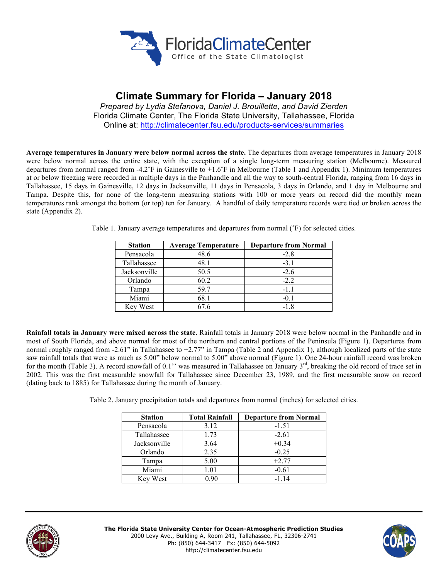

# **Climate Summary for Florida – January 2018**

*Prepared by Lydia Stefanova, Daniel J. Brouillette, and David Zierden* Florida Climate Center, The Florida State University, Tallahassee, Florida Online at: http://climatecenter.fsu.edu/products-services/summaries

**Average temperatures in January were below normal across the state.** The departures from average temperatures in January 2018 were below normal across the entire state, with the exception of a single long-term measuring station (Melbourne). Measured departures from normal ranged from -4.2˚F in Gainesville to +1.6˚F in Melbourne (Table 1 and Appendix 1). Minimum temperatures at or below freezing were recorded in multiple days in the Panhandle and all the way to south-central Florida, ranging from 16 days in Tallahassee, 15 days in Gainesville, 12 days in Jacksonville, 11 days in Pensacola, 3 days in Orlando, and 1 day in Melbourne and Tampa. Despite this, for none of the long-term measuring stations with 100 or more years on record did the monthly mean temperatures rank amongst the bottom (or top) ten for January. A handful of daily temperature records were tied or broken across the state (Appendix 2).

| <b>Station</b> | <b>Average Temperature</b> | <b>Departure from Normal</b> |
|----------------|----------------------------|------------------------------|
| Pensacola      | 48.6                       | $-2.8$                       |
| Tallahassee    | 48.1                       | $-3.1$                       |
| Jacksonville   | 50.5                       | $-2.6$                       |
| Orlando        | 60.2                       | $-2.2$                       |
| Tampa          | 59.7                       | $-1.1$                       |
| Miami          | 68.1                       | $-0.1$                       |
| Key West       | 67 6                       | $-1.8$                       |

Table 1. January average temperatures and departures from normal (˚F) for selected cities.

**Rainfall totals in January were mixed across the state.** Rainfall totals in January 2018 were below normal in the Panhandle and in most of South Florida, and above normal for most of the northern and central portions of the Peninsula (Figure 1). Departures from normal roughly ranged from -2.61" in Tallahassee to +2.77" in Tampa (Table 2 and Appendix 1), although localized parts of the state saw rainfall totals that were as much as 5.00" below normal to 5.00" above normal (Figure 1). One 24-hour rainfall record was broken for the month (Table 3). A record snowfall of 0.1'' was measured in Tallahassee on January  $3<sup>rd</sup>$ , breaking the old record of trace set in 2002. This was the first measurable snowfall for Tallahassee since December 23, 1989, and the first measurable snow on record (dating back to 1885) for Tallahassee during the month of January.

Table 2. January precipitation totals and departures from normal (inches) for selected cities.

| <b>Station</b> | <b>Total Rainfall</b> | <b>Departure from Normal</b> |
|----------------|-----------------------|------------------------------|
| Pensacola      | 3.12                  | $-1.51$                      |
| Tallahassee    | 1.73                  | $-2.61$                      |
| Jacksonville   | 3.64                  | $+0.34$                      |
| Orlando        | 2.35                  | $-0.25$                      |
| Tampa          | 5.00                  | $+2.77$                      |
| Miami          | 1.01                  | $-0.61$                      |
| Key West       | 0.90                  | $-114$                       |



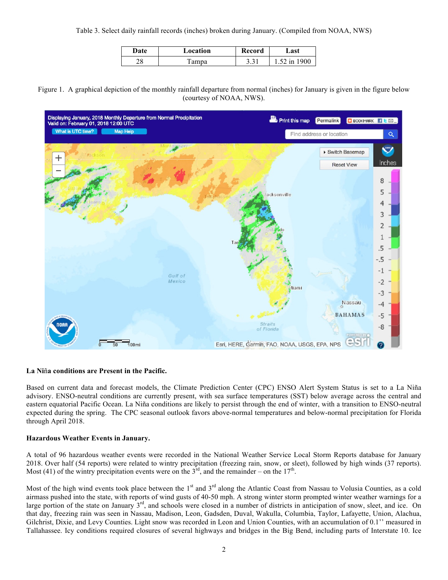Table 3. Select daily rainfall records (inches) broken during January. (Compiled from NOAA, NWS)

| <b>Date</b> | Location | Record | ⊿ast |
|-------------|----------|--------|------|
| 0 ר         | Tampa    | $\sim$ | 900  |
| ۷٥          |          | ۰. د   | 1n   |

Figure 1. A graphical depiction of the monthly rainfall departure from normal (inches) for January is given in the figure below (courtesy of NOAA, NWS).



# **La Ni**ñ**a conditions are Present in the Pacific.**

Based on current data and forecast models, the Climate Prediction Center (CPC) ENSO Alert System Status is set to a La Niña advisory. ENSO-neutral conditions are currently present, with sea surface temperatures (SST) below average across the central and eastern equatorial Pacific Ocean. La Niña conditions are likely to persist through the end of winter, with a transition to ENSO-neutral expected during the spring. The CPC seasonal outlook favors above-normal temperatures and below-normal precipitation for Florida through April 2018.

#### **Hazardous Weather Events in January.**

A total of 96 hazardous weather events were recorded in the National Weather Service Local Storm Reports database for January 2018. Over half (54 reports) were related to wintry precipitation (freezing rain, snow, or sleet), followed by high winds (37 reports). Most (41) of the wintry precipitation events were on the  $3<sup>rd</sup>$ , and the remainder – on the  $17<sup>th</sup>$ .

Most of the high wind events took place between the  $1<sup>st</sup>$  and  $3<sup>rd</sup>$  along the Atlantic Coast from Nassau to Volusia Counties, as a cold airmass pushed into the state, with reports of wind gusts of 40-50 mph. A strong winter storm prompted winter weather warnings for a large portion of the state on January  $3<sup>rd</sup>$ , and schools were closed in a number of districts in anticipation of snow, sleet, and ice. On that day, freezing rain was seen in Nassau, Madison, Leon, Gadsden, Duval, Wakulla, Columbia, Taylor, Lafayette, Union, Alachua, Gilchrist, Dixie, and Levy Counties. Light snow was recorded in Leon and Union Counties, with an accumulation of 0.1'' measured in Tallahassee. Icy conditions required closures of several highways and bridges in the Big Bend, including parts of Interstate 10. Ice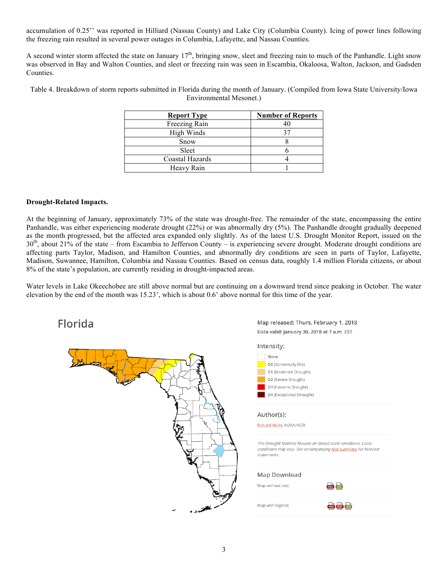accumulation of 0.25'' was reported in Hilliard (Nassau County) and Lake City (Columbia County). Icing of power lines following the freezing rain resulted in several power outages in Columbia, Lafayette, and Nassau Counties.

A second winter storm affected the state on January  $17<sup>th</sup>$ , bringing snow, sleet and freezing rain to much of the Panhandle. Light snow was observed in Bay and Walton Counties, and sleet or freezing rain was seen in Escambia, Okaloosa, Walton, Jackson, and Gadsden Counties.

Table 4. Breakdown of storm reports submitted in Florida during the month of January. (Compiled from Iowa State University/Iowa Environmental Mesonet.)

| <b>Report Type</b> | <b>Number of Reports</b> |
|--------------------|--------------------------|
| Freezing Rain      |                          |
| High Winds         |                          |
| Snow               |                          |
| Sleet              |                          |
| Coastal Hazards    |                          |
| Heavy Rain         |                          |

# **Drought-Related Impacts.**

At the beginning of January, approximately 73% of the state was drought-free. The remainder of the state, encompassing the entire Panhandle, was either experiencing moderate drought (22%) or was abnormally dry (5%). The Panhandle drought gradually deepened as the month progressed, but the affected area expanded only slightly. As of the latest U.S. Drought Monitor Report, issued on the  $30<sup>th</sup>$ , about 21% of the state – from Escambia to Jefferson County – is experiencing severe drought. Moderate drought conditions are affecting parts Taylor, Madison, and Hamilton Counties, and abnormally dry conditions are seen in parts of Taylor, Lafayette, Madison, Suwannee, Hamilton, Columbia and Nassau Counties. Based on census data, roughly 1.4 million Florida citizens, or about 8% of the state's population, are currently residing in drought-impacted areas.

Water levels in Lake Okeechobee are still above normal but are continuing on a downward trend since peaking in October. The water elevation by the end of the month was 15.23', which is about 0.6' above normal for this time of the year.